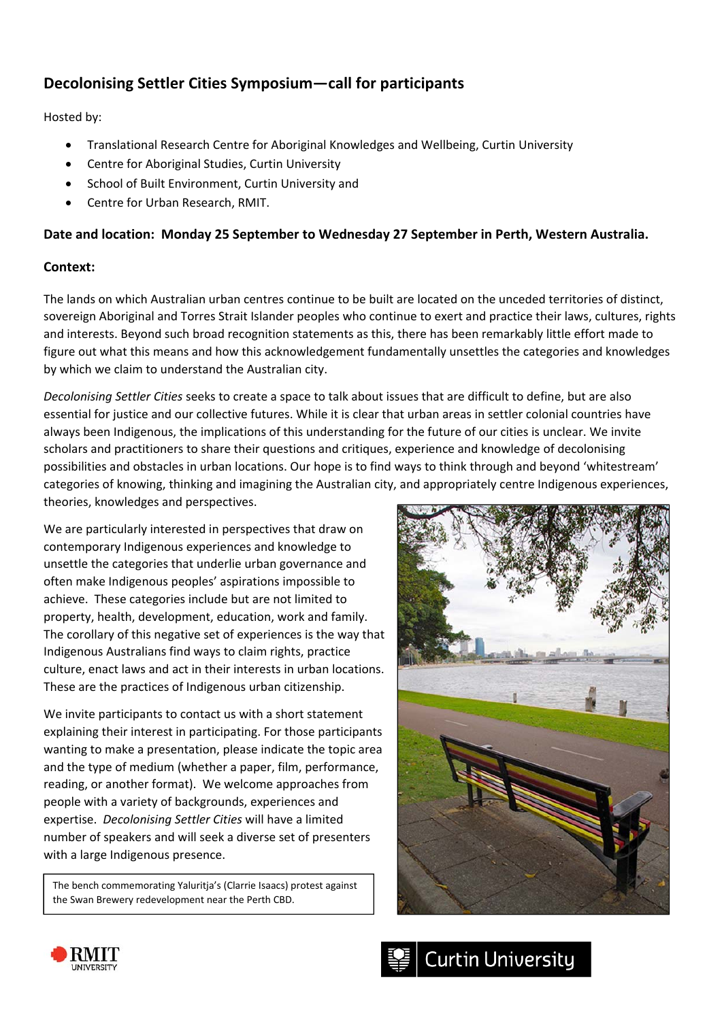# **Decolonising Settler Cities Symposium—call for participants**

Hosted by:

- Translational Research Centre for Aboriginal Knowledges and Wellbeing, Curtin University
- Centre for Aboriginal Studies, Curtin University
- School of Built Environment, Curtin University and
- Centre for Urban Research, RMIT.

# **Date and location: Monday 25 September to Wednesday 27 September in Perth, Western Australia.**

# **Context:**

The lands on which Australian urban centres continue to be built are located on the unceded territories of distinct, sovereign Aboriginal and Torres Strait Islander peoples who continue to exert and practice their laws, cultures, rights and interests. Beyond such broad recognition statements as this, there has been remarkably little effort made to figure out what this means and how this acknowledgement fundamentally unsettles the categories and knowledges by which we claim to understand the Australian city.

*Decolonising Settler Cities* seeks to create a space to talk about issues that are difficult to define, but are also essential for justice and our collective futures. While it is clear that urban areas in settler colonial countries have always been Indigenous, the implications of this understanding for the future of our cities is unclear. We invite scholars and practitioners to share their questions and critiques, experience and knowledge of decolonising possibilities and obstacles in urban locations. Our hope is to find ways to think through and beyond 'whitestream' categories of knowing, thinking and imagining the Australian city, and appropriately centre Indigenous experiences, theories, knowledges and perspectives.

We are particularly interested in perspectives that draw on contemporary Indigenous experiences and knowledge to unsettle the categories that underlie urban governance and often make Indigenous peoples' aspirations impossible to achieve. These categories include but are not limited to property, health, development, education, work and family. The corollary of this negative set of experiences is the way that Indigenous Australians find ways to claim rights, practice culture, enact laws and act in their interests in urban locations. These are the practices of Indigenous urban citizenship.

We invite participants to contact us with a short statement explaining their interest in participating. For those participants wanting to make a presentation, please indicate the topic area and the type of medium (whether a paper, film, performance, reading, or another format). We welcome approaches from people with a variety of backgrounds, experiences and expertise. *Decolonising Settler Cities* will have a limited number of speakers and will seek a diverse set of presenters with a large Indigenous presence.

The bench commemorating Yaluritja's (Clarrie Isaacs) protest against the Swan Brewery redevelopment near the Perth CBD.





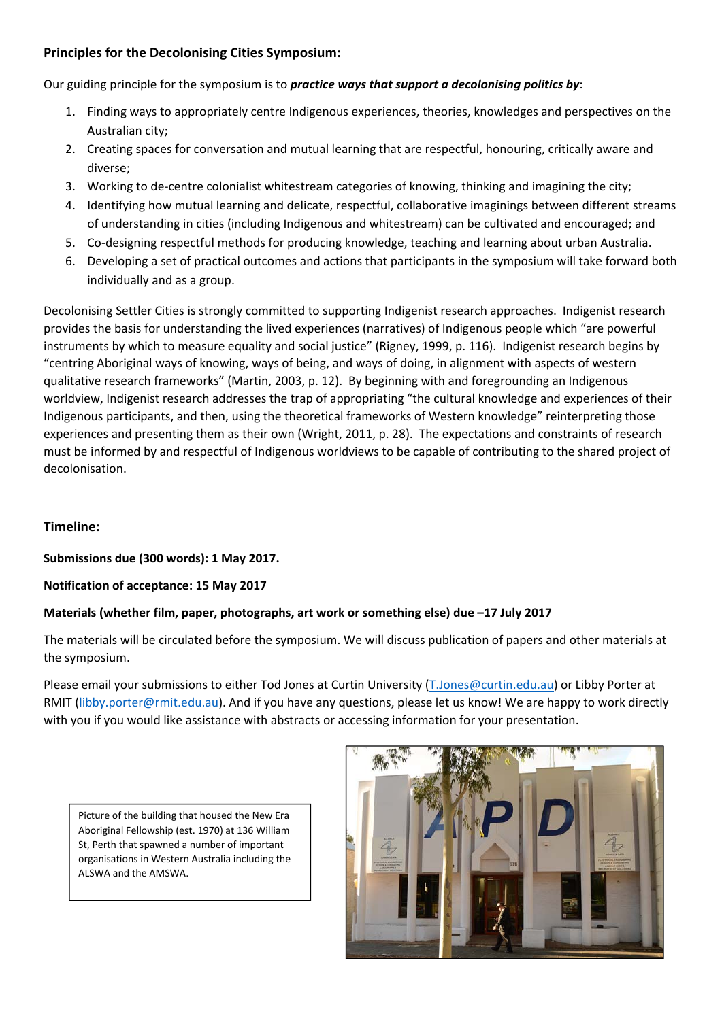# **Principles for the Decolonising Cities Symposium:**

Our guiding principle for the symposium is to *practice ways that support a decolonising politics by*:

- 1. Finding ways to appropriately centre Indigenous experiences, theories, knowledges and perspectives on the Australian city;
- 2. Creating spaces for conversation and mutual learning that are respectful, honouring, critically aware and diverse;
- 3. Working to de‐centre colonialist whitestream categories of knowing, thinking and imagining the city;
- 4. Identifying how mutual learning and delicate, respectful, collaborative imaginings between different streams of understanding in cities (including Indigenous and whitestream) can be cultivated and encouraged; and
- 5. Co-designing respectful methods for producing knowledge, teaching and learning about urban Australia.
- 6. Developing a set of practical outcomes and actions that participants in the symposium will take forward both individually and as a group.

Decolonising Settler Cities is strongly committed to supporting Indigenist research approaches. Indigenist research provides the basis for understanding the lived experiences (narratives) of Indigenous people which "are powerful instruments by which to measure equality and social justice" (Rigney, 1999, p. 116). Indigenist research begins by "centring Aboriginal ways of knowing, ways of being, and ways of doing, in alignment with aspects of western qualitative research frameworks" (Martin, 2003, p. 12). By beginning with and foregrounding an Indigenous worldview, Indigenist research addresses the trap of appropriating "the cultural knowledge and experiences of their Indigenous participants, and then, using the theoretical frameworks of Western knowledge" reinterpreting those experiences and presenting them as their own (Wright, 2011, p. 28). The expectations and constraints of research must be informed by and respectful of Indigenous worldviews to be capable of contributing to the shared project of decolonisation.

# **Timeline:**

**Submissions due (300 words): 1 May 2017.** 

#### **Notification of acceptance: 15 May 2017**

# **Materials (whether film, paper, photographs, art work or something else) due –17 July 2017**

The materials will be circulated before the symposium. We will discuss publication of papers and other materials at the symposium.

Please email your submissions to either Tod Jones at Curtin University (T.Jones@curtin.edu.au) or Libby Porter at RMIT (libby.porter@rmit.edu.au). And if you have any questions, please let us know! We are happy to work directly with you if you would like assistance with abstracts or accessing information for your presentation.



Picture of the building that housed the New Era Aboriginal Fellowship (est. 1970) at 136 William St, Perth that spawned a number of important organisations in Western Australia including the ALSWA and the AMSWA.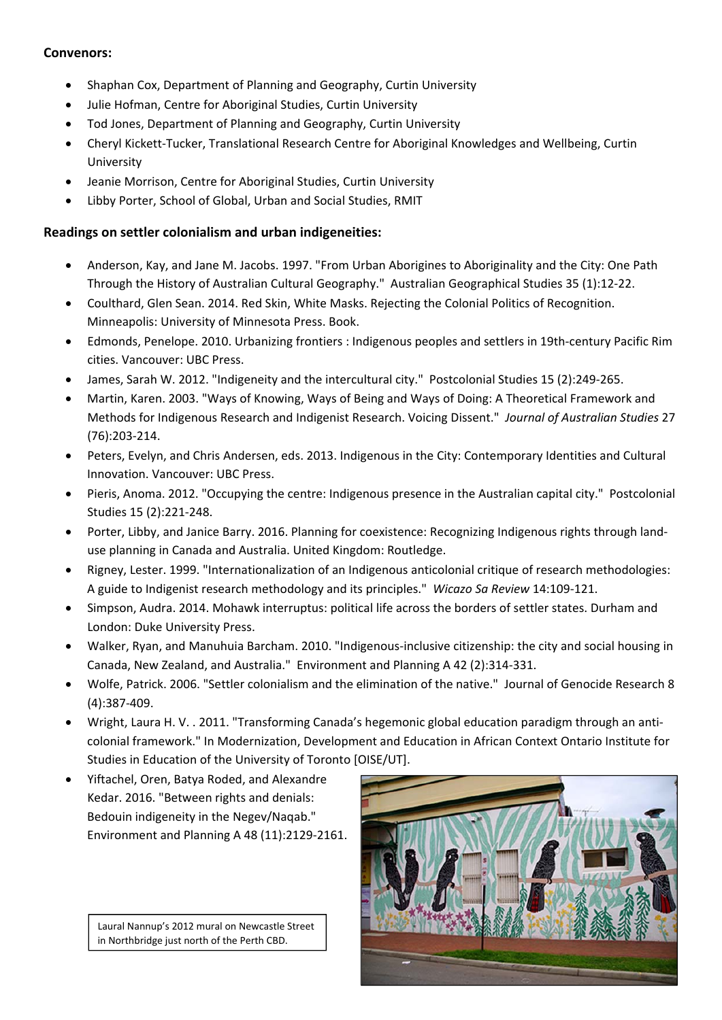### **Convenors:**

- Shaphan Cox, Department of Planning and Geography, Curtin University
- Julie Hofman, Centre for Aboriginal Studies, Curtin University
- Tod Jones, Department of Planning and Geography, Curtin University
- Cheryl Kickett-Tucker, Translational Research Centre for Aboriginal Knowledges and Wellbeing, Curtin University
- Jeanie Morrison, Centre for Aboriginal Studies, Curtin University
- Libby Porter, School of Global, Urban and Social Studies, RMIT

#### **Readings on settler colonialism and urban indigeneities:**

- Anderson, Kay, and Jane M. Jacobs. 1997. "From Urban Aborigines to Aboriginality and the City: One Path Through the History of Australian Cultural Geography." Australian Geographical Studies 35 (1):12‐22.
- Coulthard, Glen Sean. 2014. Red Skin, White Masks. Rejecting the Colonial Politics of Recognition. Minneapolis: University of Minnesota Press. Book.
- Edmonds, Penelope. 2010. Urbanizing frontiers : Indigenous peoples and settlers in 19th‐century Pacific Rim cities. Vancouver: UBC Press.
- James, Sarah W. 2012. "Indigeneity and the intercultural city." Postcolonial Studies 15 (2):249‐265.
- Martin, Karen. 2003. "Ways of Knowing, Ways of Being and Ways of Doing: A Theoretical Framework and Methods for Indigenous Research and Indigenist Research. Voicing Dissent." *Journal of Australian Studies* 27 (76):203‐214.
- Peters, Evelyn, and Chris Andersen, eds. 2013. Indigenous in the City: Contemporary Identities and Cultural Innovation. Vancouver: UBC Press.
- Pieris, Anoma. 2012. "Occupying the centre: Indigenous presence in the Australian capital city." Postcolonial Studies 15 (2):221‐248.
- Porter, Libby, and Janice Barry. 2016. Planning for coexistence: Recognizing Indigenous rights through landuse planning in Canada and Australia. United Kingdom: Routledge.
- Rigney, Lester. 1999. "Internationalization of an Indigenous anticolonial critique of research methodologies: A guide to Indigenist research methodology and its principles." *Wicazo Sa Review* 14:109‐121.
- Simpson, Audra. 2014. Mohawk interruptus: political life across the borders of settler states. Durham and London: Duke University Press.
- Walker, Ryan, and Manuhuia Barcham. 2010. "Indigenous-inclusive citizenship: the city and social housing in Canada, New Zealand, and Australia." Environment and Planning A 42 (2):314‐331.
- Wolfe, Patrick. 2006. "Settler colonialism and the elimination of the native." Journal of Genocide Research 8 (4):387‐409.
- Wright, Laura H. V. . 2011. "Transforming Canada's hegemonic global education paradigm through an anti‐ colonial framework." In Modernization, Development and Education in African Context Ontario Institute for Studies in Education of the University of Toronto [OISE/UT].
- Yiftachel, Oren, Batya Roded, and Alexandre Kedar. 2016. "Between rights and denials: Bedouin indigeneity in the Negev/Naqab." Environment and Planning A 48 (11):2129‐2161.

 Laural Nannup's <sup>2012</sup> mural on Newcastle Street in Northbridge just north of the Perth CBD.